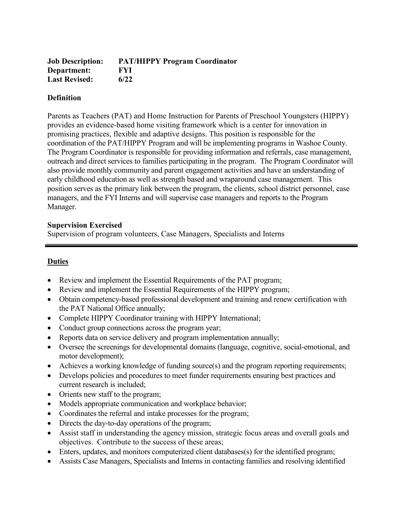| <b>Job Description:</b> | <b>PAT/HIPPY Program Coordinator</b> |
|-------------------------|--------------------------------------|
| Department:             | <b>FYI</b>                           |
| <b>Last Revised:</b>    | 6/22                                 |

## **Definition**

Parents as Teachers (PAT) and Home Instruction for Parents of Preschool Youngsters (HIPPY) provides an evidence-based home visiting framework which is a center for innovation in promising practices, flexible and adaptive designs. This position is responsible for the coordination of the PAT/HIPPY Program and will be implementing programs in Washoe County. The Program Coordinator is responsible for providing information and referrals, case management, outreach and direct services to families participating in the program. The Program Coordinator will also provide monthly community and parent engagement activities and have an understanding of early childhood education as well as strength based and wraparound case management. This position serves as the primary link between the program, the clients, school district personnel, case managers, and the FYI Interns and will supervise case managers and reports to the Program Manager.

## **Supervision Exercised**

Supervision of program volunteers, Case Managers, Specialists and Interns

## **Duties**

- Review and implement the Essential Requirements of the PAT program;
- Review and implement the Essential Requirements of the HIPPY program;
- Obtain competency-based professional development and training and renew certification with the PAT National Office annually;
- Complete HIPPY Coordinator training with HIPPY International;
- Conduct group connections across the program year;
- Reports data on service delivery and program implementation annually;
- Oversee the screenings for developmental domains (language, cognitive, social-emotional, and motor development);
- Achieves a working knowledge of funding source(s) and the program reporting requirements;
- Develops policies and procedures to meet funder requirements ensuring best practices and current research is included;
- Orients new staff to the program;
- Models appropriate communication and workplace behavior;
- Coordinates the referral and intake processes for the program;
- Directs the day-to-day operations of the program;
- Assist staff in understanding the agency mission, strategic focus areas and overall goals and objectives. Contribute to the success of these areas;
- Enters, updates, and monitors computerized client databases(s) for the identified program;
- Assists Case Managers, Specialists and Interns in contacting families and resolving identified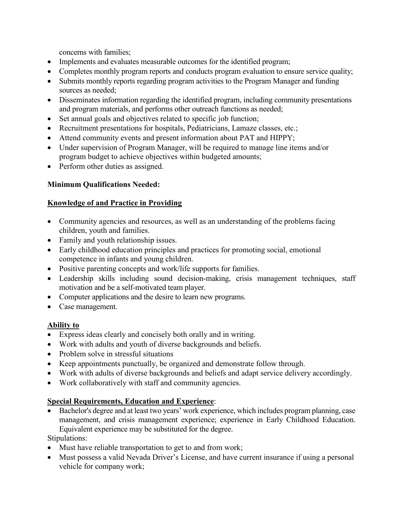concerns with families;

- Implements and evaluates measurable outcomes for the identified program;
- Completes monthly program reports and conducts program evaluation to ensure service quality;
- Submits monthly reports regarding program activities to the Program Manager and funding sources as needed;
- Disseminates information regarding the identified program, including community presentations and program materials, and performs other outreach functions as needed;
- Set annual goals and objectives related to specific job function;
- Recruitment presentations for hospitals, Pediatricians, Lamaze classes, etc.;
- Attend community events and present information about PAT and HIPPY;
- Under supervision of Program Manager, will be required to manage line items and/or program budget to achieve objectives within budgeted amounts;
- Perform other duties as assigned.

# **Minimum Qualifications Needed:**

## **Knowledge of and Practice in Providing**

- Community agencies and resources, as well as an understanding of the problems facing children, youth and families.
- Family and youth relationship issues.
- Early childhood education principles and practices for promoting social, emotional competence in infants and young children.
- Positive parenting concepts and work/life supports for families.
- Leadership skills including sound decision-making, crisis management techniques, staff motivation and be a self-motivated team player.
- Computer applications and the desire to learn new programs.
- Case management.

## **Ability to**

- Express ideas clearly and concisely both orally and in writing.
- Work with adults and youth of diverse backgrounds and beliefs.
- Problem solve in stressful situations
- Keep appointments punctually, be organized and demonstrate follow through.
- Work with adults of diverse backgrounds and beliefs and adapt service delivery accordingly.
- Work collaboratively with staff and community agencies.

# **Special Requirements, Education and Experience**:

• Bachelor's degree and at least two years' work experience, which includes program planning, case management, and crisis management experience; experience in Early Childhood Education. Equivalent experience may be substituted for the degree.

Stipulations:

- Must have reliable transportation to get to and from work;
- Must possess a valid Nevada Driver's License, and have current insurance if using a personal vehicle for company work;